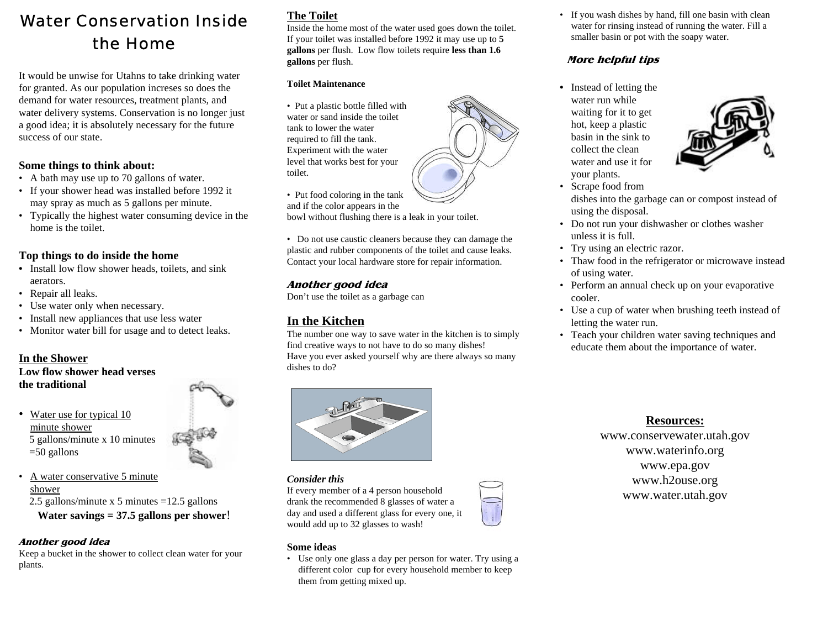## Water Conservation Insidethe Home

It would be unwise for Utahns to take drinking water for granted. As our population increses so does the demand for water resources, treatment plants, and water delivery systems. Conservation is no longer just a good idea; it is absolutely necessary for the future success of our state.

#### **Some things to think about:**

- A bath may use up to 70 gallons of water.
- If your shower head was installed before 1992 it may spray as much as 5 gallons per minute.
- Typically the highest water consuming device in the home is the toilet.

#### **Top things to do inside the home**

- **•** Install low flow shower heads, toilets, and sink aerators.
- Repair all leaks.
- Use water only when necessary.
- Install new appliances that use less water
- Monitor water bill for usage and to detect leaks.

#### **In the Shower**

**Low flow shower head versesthe traditional**

- Water use for typical 10 minute shower 5 gallons/minute x 10 minutes =50 gallons
- • A water conservative 5 minute shower2.5 gallons/minute x 5 minutes =12.5 gallons

**Water savings = 37.5 gallons per shower**!

#### **Another good idea**

Keep a bucket in the shower to collect clean water for your plants.

## **The Toilet**

Inside the home most of the water used goes down the toilet. If your toilet was installed before 1992 it may use up to **5 gallons** per flush. Low flow toilets require **less than 1.6 gallons** per flush.

#### **Toilet Maintenance**

• Put a plastic bottle filled with water or sand inside the toilettank to lower the waterrequired to fill the tank. Experiment with the water level that works best for your toilet.

• Put food coloring in the tank and if the color appears in the

bowl without flushing there is a leak in your toilet.

• Do not use caustic cleaners because they can damage the plastic and rubber components of the toilet and cause leaks. Contact your local hardware store for repair information.

#### **Another good idea**

Don't use the toilet as a garbage can

### **In the Kitchen**

The number one way to save water in the kitchen is to simply find creative ways to not have to do so many dishes! Have you ever asked yourself why are there always so many dishes to do?



#### *Consider this*

If every member of a 4 person household drank the recommended 8 glasses of water a day and used a different glass for every one, it would add up to 32 glasses to wash!

#### **Some ideas**

• Use only one glass a day per person for water. Try using a different color cup for every household member to keep them from getting mixed up.

• If you wash dishes by hand, fill one basin with clean water for rinsing instead of running the water. Fill a smaller basin or pot with the soapy water.

#### **More helpful tips**

**•** Instead of letting the water run whilewaiting for it to get hot, keep a plastic basin in the sink tocollect the cleanwater and use it foryour plants.



- Scrape food from dishes into the garbage can or compost instead of using the disposal.
- Do not run your dishwasher or clothes washer unless it is full.
- Try using an electric razor.
- Thaw food in the refrigerator or microwave instead of using water.
- Perform an annual check up on your evaporative cooler.
- Use a cup of water when brushing teeth instead of letting the water run.
- Teach your children water saving techniques and educate them about the importance of water.

#### **Resources:**

www.conservewater.utah.gov www.waterinfo.org www.epa.gov www.h2ouse.org www.water.utah.gov